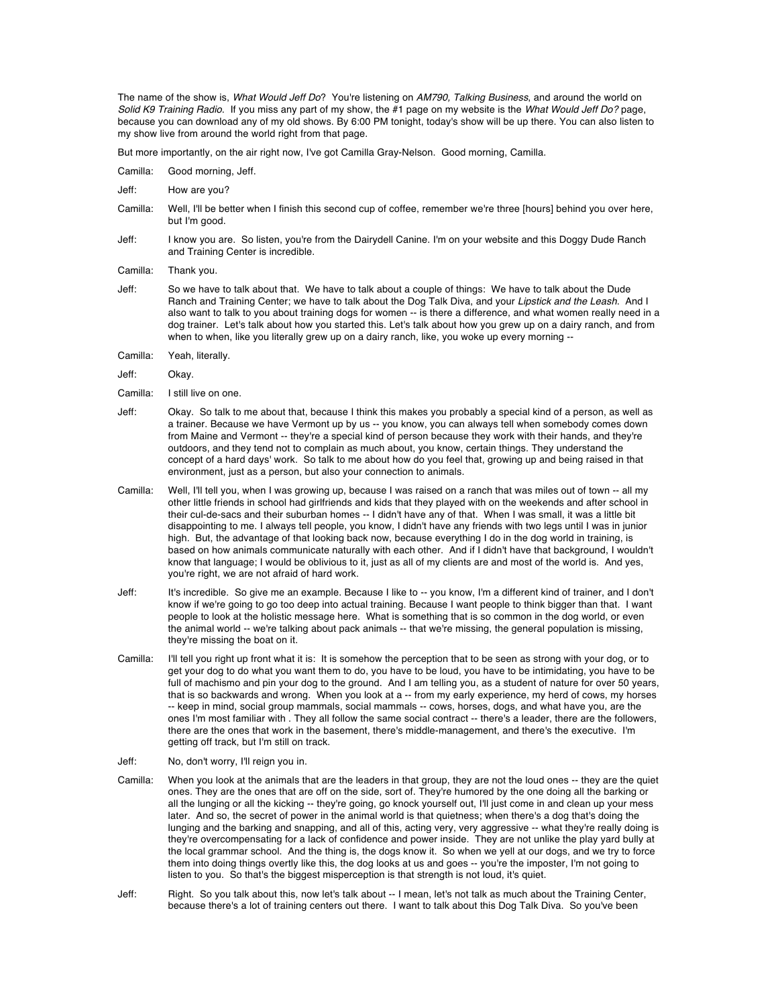The name of the show is, *What Would Jeff Do*? You're listening on *AM790, Talking Business*, and around the world on *Solid K9 Training Radio*. If you miss any part of my show, the #1 page on my website is the *What Would Jeff Do?* page, because you can download any of my old shows. By 6:00 PM tonight, today's show will be up there. You can also listen to my show live from around the world right from that page.

But more importantly, on the air right now, I've got Camilla Gray-Nelson. Good morning, Camilla.

- Camilla: Good morning, Jeff.
- Jeff: How are you?
- Camilla: Well, I'll be better when I finish this second cup of coffee, remember we're three [hours] behind you over here, but I'm good.
- Jeff: I know you are. So listen, you're from the Dairydell Canine. I'm on your website and this Doggy Dude Ranch and Training Center is incredible.
- Camilla: Thank you.
- Jeff: So we have to talk about that. We have to talk about a couple of things: We have to talk about the Dude Ranch and Training Center; we have to talk about the Dog Talk Diva, and your *Lipstick and the Leash*. And I also want to talk to you about training dogs for women -- is there a difference, and what women really need in a dog trainer. Let's talk about how you started this. Let's talk about how you grew up on a dairy ranch, and from when to when, like you literally grew up on a dairy ranch, like, you woke up every morning --
- Camilla: Yeah, literally.
- Jeff: Okay.
- Camilla: I still live on one.
- Jeff: Okay. So talk to me about that, because I think this makes you probably a special kind of a person, as well as a trainer. Because we have Vermont up by us -- you know, you can always tell when somebody comes down from Maine and Vermont -- they're a special kind of person because they work with their hands, and they're outdoors, and they tend not to complain as much about, you know, certain things. They understand the concept of a hard days' work. So talk to me about how do you feel that, growing up and being raised in that environment, just as a person, but also your connection to animals.
- Camilla: Well, I'll tell you, when I was growing up, because I was raised on a ranch that was miles out of town -- all my other little friends in school had girlfriends and kids that they played with on the weekends and after school in their cul-de-sacs and their suburban homes -- I didn't have any of that. When I was small, it was a little bit disappointing to me. I always tell people, you know, I didn't have any friends with two legs until I was in junior high. But, the advantage of that looking back now, because everything I do in the dog world in training, is based on how animals communicate naturally with each other. And if I didn't have that background, I wouldn't know that language; I would be oblivious to it, just as all of my clients are and most of the world is. And yes, you're right, we are not afraid of hard work.
- Jeff: It's incredible. So give me an example. Because I like to -- you know, I'm a different kind of trainer, and I don't know if we're going to go too deep into actual training. Because I want people to think bigger than that. I want people to look at the holistic message here. What is something that is so common in the dog world, or even the animal world -- we're talking about pack animals -- that we're missing, the general population is missing, they're missing the boat on it.
- Camilla: I'll tell you right up front what it is: It is somehow the perception that to be seen as strong with your dog, or to get your dog to do what you want them to do, you have to be loud, you have to be intimidating, you have to be full of machismo and pin your dog to the ground. And I am telling you, as a student of nature for over 50 years, that is so backwards and wrong. When you look at a -- from my early experience, my herd of cows, my horses -- keep in mind, social group mammals, social mammals -- cows, horses, dogs, and what have you, are the ones I'm most familiar with . They all follow the same social contract -- there's a leader, there are the followers, there are the ones that work in the basement, there's middle-management, and there's the executive. I'm getting off track, but I'm still on track.
- Jeff: No, don't worry, I'll reign you in.
- Camilla: When you look at the animals that are the leaders in that group, they are not the loud ones -- they are the quiet ones. They are the ones that are off on the side, sort of. They're humored by the one doing all the barking or all the lunging or all the kicking -- they're going, go knock yourself out, I'll just come in and clean up your mess later. And so, the secret of power in the animal world is that quietness; when there's a dog that's doing the lunging and the barking and snapping, and all of this, acting very, very aggressive -- what they're really doing is they're overcompensating for a lack of confidence and power inside. They are not unlike the play yard bully at the local grammar school. And the thing is, the dogs know it. So when we yell at our dogs, and we try to force them into doing things overtly like this, the dog looks at us and goes -- you're the imposter, I'm not going to listen to you. So that's the biggest misperception is that strength is not loud, it's quiet.
- Jeff: Right. So you talk about this, now let's talk about -- I mean, let's not talk as much about the Training Center, because there's a lot of training centers out there. I want to talk about this Dog Talk Diva. So you've been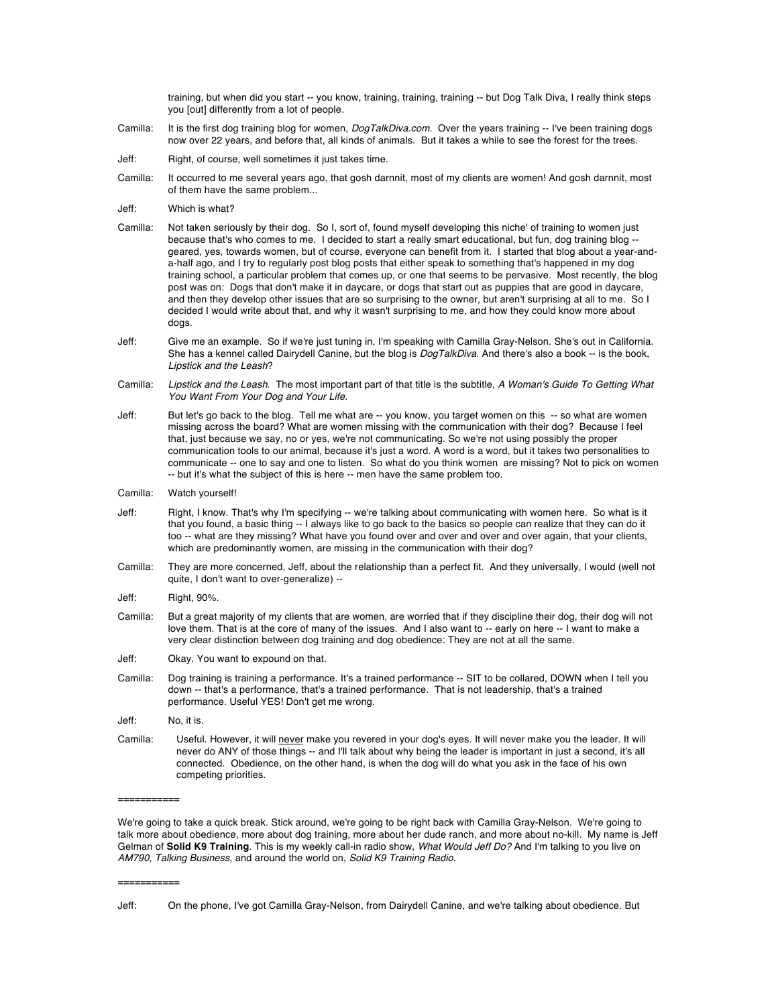training, but when did you start -- you know, training, training, training -- but Dog Talk Diva, I really think steps you [out] differently from a lot of people.

- Camilla: It is the first dog training blog for women, *DogTalkDiva.com*. Over the years training -- I've been training dogs now over 22 years, and before that, all kinds of animals. But it takes a while to see the forest for the trees.
- Jeff: Right, of course, well sometimes it just takes time.
- Camilla: It occurred to me several years ago, that gosh darnnit, most of my clients are women! And gosh darnnit, most of them have the same problem...
- Jeff: Which is what?
- Camilla: Not taken seriously by their dog. So I, sort of, found myself developing this niche' of training to women just because that's who comes to me. I decided to start a really smart educational, but fun, dog training blog -geared, yes, towards women, but of course, everyone can benefit from it. I started that blog about a year-anda-half ago, and I try to regularly post blog posts that either speak to something that's happened in my dog training school, a particular problem that comes up, or one that seems to be pervasive. Most recently, the blog post was on: Dogs that don't make it in daycare, or dogs that start out as puppies that are good in daycare, and then they develop other issues that are so surprising to the owner, but aren't surprising at all to me. So I decided I would write about that, and why it wasn't surprising to me, and how they could know more about dogs.
- Jeff: Give me an example. So if we're just tuning in, I'm speaking with Camilla Gray-Nelson. She's out in California. She has a kennel called Dairydell Canine, but the blog is *DogTalkDiva*. And there's also a book -- is the book, *Lipstick and the Leash*?
- Camilla: *Lipstick and the Leash*. The most important part of that title is the subtitle, *A Woman's Guide To Getting What You Want From Your Dog and Your Life*.
- Jeff: But let's go back to the blog. Tell me what are -- you know, you target women on this -- so what are women missing across the board? What are women missing with the communication with their dog? Because I feel that, just because we say, no or yes, we're not communicating. So we're not using possibly the proper communication tools to our animal, because it's just a word. A word is a word, but it takes two personalities to communicate -- one to say and one to listen. So what do you think women are missing? Not to pick on women -- but it's what the subject of this is here -- men have the same problem too.
- Camilla: Watch yourself!
- Jeff: Right, I know. That's why I'm specifying -- we're talking about communicating with women here. So what is it that you found, a basic thing -- I always like to go back to the basics so people can realize that they can do it too -- what are they missing? What have you found over and over and over and over again, that your clients, which are predominantly women, are missing in the communication with their dog?
- Camilla: They are more concerned, Jeff, about the relationship than a perfect fit. And they universally, I would (well not quite, I don't want to over-generalize) --
- Jeff: Right, 90%.
- Camilla: But a great majority of my clients that are women, are worried that if they discipline their dog, their dog will not love them. That is at the core of many of the issues. And I also want to -- early on here -- I want to make a very clear distinction between dog training and dog obedience: They are not at all the same.
- Jeff: Okay. You want to expound on that.
- Camilla: Dog training is training a performance. It's a trained performance -- SIT to be collared, DOWN when I tell you down -- that's a performance, that's a trained performance. That is not leadership, that's a trained performance. Useful YES! Don't get me wrong.
- Jeff: No, it is.
- Camilla: Useful. However, it will never make you revered in your dog's eyes. It will never make you the leader. It will never do ANY of those things -- and I'll talk about why being the leader is important in just a second, it's all connected. Obedience, on the other hand, is when the dog will do what you ask in the face of his own competing priorities.

We're going to take a quick break. Stick around, we're going to be right back with Camilla Gray-Nelson. We're going to talk more about obedience, more about dog training, more about her dude ranch, and more about no-kill. My name is Jeff Gelman of **Solid K9 Training**. This is my weekly call-in radio show, *What Would Jeff Do?* And I'm talking to you live on *AM790*, *Talking Business*, and around the world on, *Solid K9 Training Radio*.

===========

===========

Jeff: On the phone, I've got Camilla Gray-Nelson, from Dairydell Canine, and we're talking about obedience. But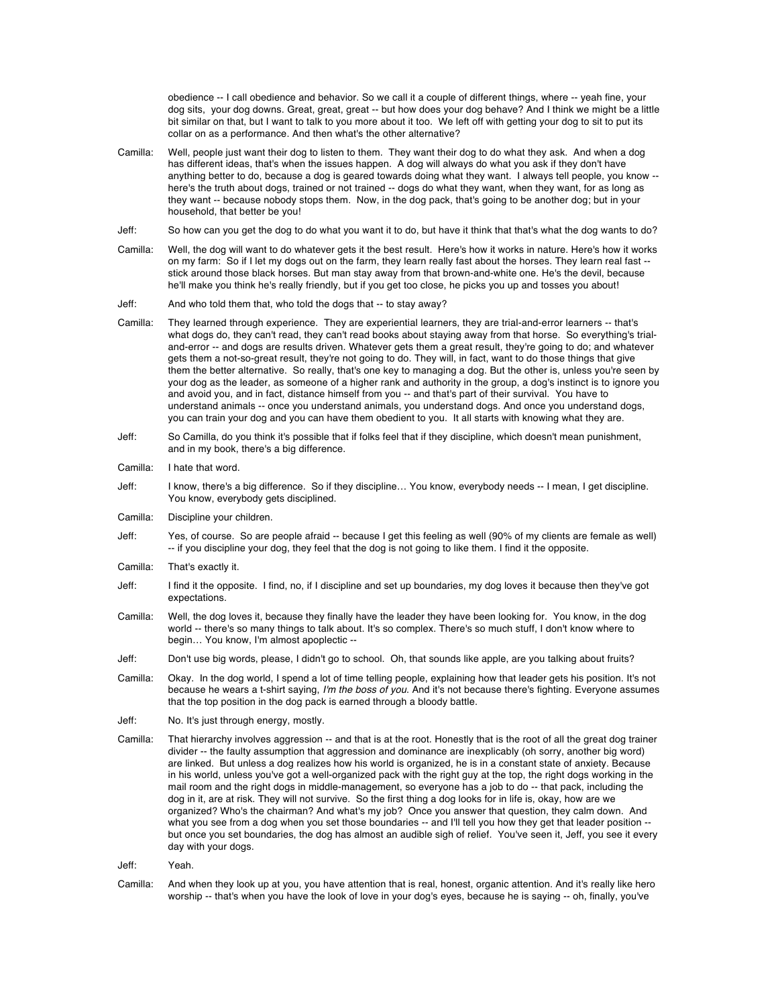obedience -- I call obedience and behavior. So we call it a couple of different things, where -- yeah fine, your dog sits, your dog downs. Great, great, great -- but how does your dog behave? And I think we might be a little bit similar on that, but I want to talk to you more about it too. We left off with getting your dog to sit to put its collar on as a performance. And then what's the other alternative?

- Camilla: Well, people just want their dog to listen to them. They want their dog to do what they ask. And when a dog has different ideas, that's when the issues happen. A dog will always do what you ask if they don't have anything better to do, because a dog is geared towards doing what they want. I always tell people, you know - here's the truth about dogs, trained or not trained -- dogs do what they want, when they want, for as long as they want -- because nobody stops them. Now, in the dog pack, that's going to be another dog; but in your household, that better be you!
- Jeff: So how can you get the dog to do what you want it to do, but have it think that that's what the dog wants to do?
- Camilla: Well, the dog will want to do whatever gets it the best result. Here's how it works in nature. Here's how it works on my farm: So if I let my dogs out on the farm, they learn really fast about the horses. They learn real fast stick around those black horses. But man stay away from that brown-and-white one. He's the devil, because he'll make you think he's really friendly, but if you get too close, he picks you up and tosses you about!
- Jeff: And who told them that, who told the dogs that -- to stay away?
- Camilla: They learned through experience. They are experiential learners, they are trial-and-error learners -- that's what dogs do, they can't read, they can't read books about staying away from that horse. So everything's trialand-error -- and dogs are results driven. Whatever gets them a great result, they're going to do; and whatever gets them a not-so-great result, they're not going to do. They will, in fact, want to do those things that give them the better alternative. So really, that's one key to managing a dog. But the other is, unless you're seen by your dog as the leader, as someone of a higher rank and authority in the group, a dog's instinct is to ignore you and avoid you, and in fact, distance himself from you -- and that's part of their survival. You have to understand animals -- once you understand animals, you understand dogs. And once you understand dogs, you can train your dog and you can have them obedient to you. It all starts with knowing what they are.
- Jeff: So Camilla, do you think it's possible that if folks feel that if they discipline, which doesn't mean punishment, and in my book, there's a big difference.
- Camilla: I hate that word.
- Jeff: I know, there's a big difference. So if they discipline… You know, everybody needs -- I mean, I get discipline. You know, everybody gets disciplined.
- Camilla: Discipline your children.
- Jeff: Yes, of course. So are people afraid -- because I get this feeling as well (90% of my clients are female as well) -- if you discipline your dog, they feel that the dog is not going to like them. I find it the opposite.
- Camilla: That's exactly it.
- Jeff: I find it the opposite. I find, no, if I discipline and set up boundaries, my dog loves it because then they've got expectations.
- Camilla: Well, the dog loves it, because they finally have the leader they have been looking for. You know, in the dog world -- there's so many things to talk about. It's so complex. There's so much stuff, I don't know where to begin… You know, I'm almost apoplectic --
- Jeff: Don't use big words, please, I didn't go to school. Oh, that sounds like apple, are you talking about fruits?
- Camilla: Okay. In the dog world, I spend a lot of time telling people, explaining how that leader gets his position. It's not because he wears a t-shirt saying, *I'm the boss of you*. And it's not because there's fighting. Everyone assumes that the top position in the dog pack is earned through a bloody battle.
- Jeff: No. It's just through energy, mostly.
- Camilla: That hierarchy involves aggression -- and that is at the root. Honestly that is the root of all the great dog trainer divider -- the faulty assumption that aggression and dominance are inexplicably (oh sorry, another big word) are linked. But unless a dog realizes how his world is organized, he is in a constant state of anxiety. Because in his world, unless you've got a well-organized pack with the right guy at the top, the right dogs working in the mail room and the right dogs in middle-management, so everyone has a job to do -- that pack, including the dog in it, are at risk. They will not survive. So the first thing a dog looks for in life is, okay, how are we organized? Who's the chairman? And what's my job? Once you answer that question, they calm down. And what you see from a dog when you set those boundaries -- and I'll tell you how they get that leader position -but once you set boundaries, the dog has almost an audible sigh of relief. You've seen it, Jeff, you see it every day with your dogs.
- Jeff: Yeah.
- Camilla: And when they look up at you, you have attention that is real, honest, organic attention. And it's really like hero worship -- that's when you have the look of love in your dog's eyes, because he is saying -- oh, finally, you've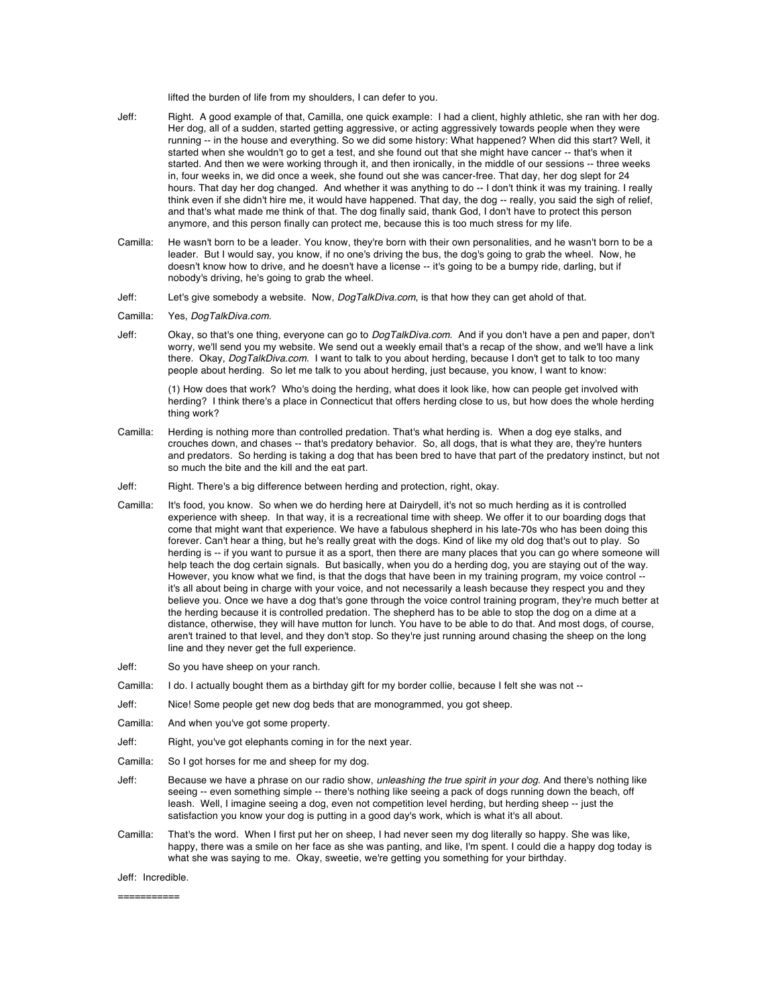lifted the burden of life from my shoulders, I can defer to you.

- Jeff: Right. A good example of that, Camilla, one quick example: I had a client, highly athletic, she ran with her dog. Her dog, all of a sudden, started getting aggressive, or acting aggressively towards people when they were running -- in the house and everything. So we did some history: What happened? When did this start? Well, it started when she wouldn't go to get a test, and she found out that she might have cancer -- that's when it started. And then we were working through it, and then ironically, in the middle of our sessions -- three weeks in, four weeks in, we did once a week, she found out she was cancer-free. That day, her dog slept for 24 hours. That day her dog changed. And whether it was anything to do -- I don't think it was my training. I really think even if she didn't hire me, it would have happened. That day, the dog -- really, you said the sigh of relief, and that's what made me think of that. The dog finally said, thank God, I don't have to protect this person anymore, and this person finally can protect me, because this is too much stress for my life.
- Camilla: He wasn't born to be a leader. You know, they're born with their own personalities, and he wasn't born to be a leader. But I would say, you know, if no one's driving the bus, the dog's going to grab the wheel. Now, he doesn't know how to drive, and he doesn't have a license -- it's going to be a bumpy ride, darling, but if nobody's driving, he's going to grab the wheel.
- Jeff: Let's give somebody a website. Now, *DogTalkDiva.com*, is that how they can get ahold of that.
- Camilla: Yes, *DogTalkDiva.com*.
- Jeff: Okay, so that's one thing, everyone can go to *DogTalkDiva.com*. And if you don't have a pen and paper, don't worry, we'll send you my website. We send out a weekly email that's a recap of the show, and we'll have a link there. Okay, *DogTalkDiva.com*. I want to talk to you about herding, because I don't get to talk to too many people about herding. So let me talk to you about herding, just because, you know, I want to know:

(1) How does that work? Who's doing the herding, what does it look like, how can people get involved with herding? I think there's a place in Connecticut that offers herding close to us, but how does the whole herding thing work?

- Camilla: Herding is nothing more than controlled predation. That's what herding is. When a dog eye stalks, and crouches down, and chases -- that's predatory behavior. So, all dogs, that is what they are, they're hunters and predators. So herding is taking a dog that has been bred to have that part of the predatory instinct, but not so much the bite and the kill and the eat part.
- Jeff: Right. There's a big difference between herding and protection, right, okay.
- Camilla: It's food, you know. So when we do herding here at Dairydell, it's not so much herding as it is controlled experience with sheep. In that way, it is a recreational time with sheep. We offer it to our boarding dogs that come that might want that experience. We have a fabulous shepherd in his late-70s who has been doing this forever. Can't hear a thing, but he's really great with the dogs. Kind of like my old dog that's out to play. So herding is -- if you want to pursue it as a sport, then there are many places that you can go where someone will help teach the dog certain signals. But basically, when you do a herding dog, you are staying out of the way. However, you know what we find, is that the dogs that have been in my training program, my voice control - it's all about being in charge with your voice, and not necessarily a leash because they respect you and they believe you. Once we have a dog that's gone through the voice control training program, they're much better at the herding because it is controlled predation. The shepherd has to be able to stop the dog on a dime at a distance, otherwise, they will have mutton for lunch. You have to be able to do that. And most dogs, of course, aren't trained to that level, and they don't stop. So they're just running around chasing the sheep on the long line and they never get the full experience.
- Jeff: So you have sheep on your ranch.
- Camilla: I do. I actually bought them as a birthday gift for my border collie, because I felt she was not --
- Jeff: Nice! Some people get new dog beds that are monogrammed, you got sheep.
- Camilla: And when you've got some property.
- Jeff: Right, you've got elephants coming in for the next year.
- Camilla: So I got horses for me and sheep for my dog.
- Jeff: Because we have a phrase on our radio show, *unleashing the true spirit in your dog*. And there's nothing like seeing -- even something simple -- there's nothing like seeing a pack of dogs running down the beach, off leash. Well, I imagine seeing a dog, even not competition level herding, but herding sheep -- just the satisfaction you know your dog is putting in a good day's work, which is what it's all about.
- Camilla: That's the word. When I first put her on sheep, I had never seen my dog literally so happy. She was like, happy, there was a smile on her face as she was panting, and like, I'm spent. I could die a happy dog today is what she was saying to me. Okay, sweetie, we're getting you something for your birthday.

## Jeff: Incredible.

===========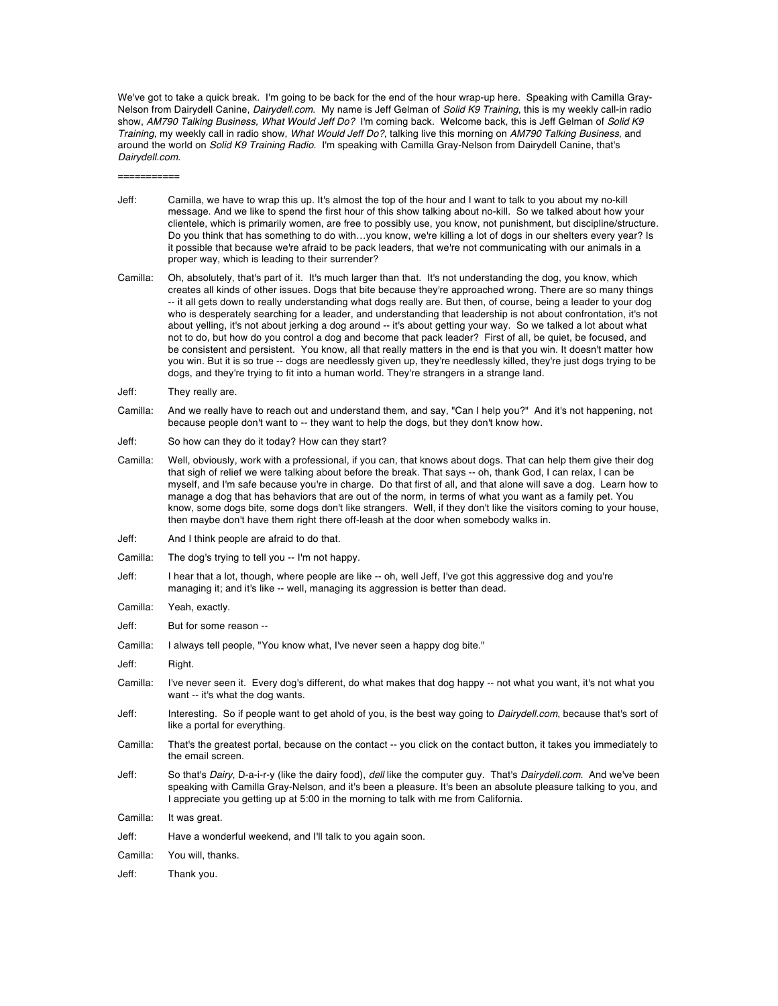We've got to take a quick break. I'm going to be back for the end of the hour wrap-up here. Speaking with Camilla Gray-Nelson from Dairydell Canine, *Dairydell.com*. My name is Jeff Gelman of *Solid K9 Training*, this is my weekly call-in radio show, *AM790 Talking Business, What Would Jeff Do?* I'm coming back. Welcome back, this is Jeff Gelman of *Solid K9 Training*, my weekly call in radio show, *What Would Jeff Do?*, talking live this morning on *AM790 Talking Business*, and around the world on *Solid K9 Training Radio*. I'm speaking with Camilla Gray-Nelson from Dairydell Canine, that's *Dairydell.com*.

===========

- Jeff: Camilla, we have to wrap this up. It's almost the top of the hour and I want to talk to you about my no-kill message. And we like to spend the first hour of this show talking about no-kill. So we talked about how your clientele, which is primarily women, are free to possibly use, you know, not punishment, but discipline/structure. Do you think that has something to do with…you know, we're killing a lot of dogs in our shelters every year? Is it possible that because we're afraid to be pack leaders, that we're not communicating with our animals in a proper way, which is leading to their surrender?
- Camilla: Oh, absolutely, that's part of it. It's much larger than that. It's not understanding the dog, you know, which creates all kinds of other issues. Dogs that bite because they're approached wrong. There are so many things -- it all gets down to really understanding what dogs really are. But then, of course, being a leader to your dog who is desperately searching for a leader, and understanding that leadership is not about confrontation, it's not about yelling, it's not about jerking a dog around -- it's about getting your way. So we talked a lot about what not to do, but how do you control a dog and become that pack leader? First of all, be quiet, be focused, and be consistent and persistent. You know, all that really matters in the end is that you win. It doesn't matter how you win. But it is so true -- dogs are needlessly given up, they're needlessly killed, they're just dogs trying to be dogs, and they're trying to fit into a human world. They're strangers in a strange land.
- Jeff: They really are.
- Camilla: And we really have to reach out and understand them, and say, "Can I help you?" And it's not happening, not because people don't want to -- they want to help the dogs, but they don't know how.
- Jeff: So how can they do it today? How can they start?
- Camilla: Well, obviously, work with a professional, if you can, that knows about dogs. That can help them give their dog that sigh of relief we were talking about before the break. That says -- oh, thank God, I can relax, I can be myself, and I'm safe because you're in charge. Do that first of all, and that alone will save a dog. Learn how to manage a dog that has behaviors that are out of the norm, in terms of what you want as a family pet. You know, some dogs bite, some dogs don't like strangers. Well, if they don't like the visitors coming to your house, then maybe don't have them right there off-leash at the door when somebody walks in.
- Jeff: And I think people are afraid to do that.
- Camilla: The dog's trying to tell you -- I'm not happy.
- Jeff: I hear that a lot, though, where people are like -- oh, well Jeff, I've got this aggressive dog and you're managing it; and it's like -- well, managing its aggression is better than dead.
- Camilla: Yeah, exactly.

Jeff: But for some reason --

- Camilla: I always tell people, "You know what, I've never seen a happy dog bite."
- Jeff: Right.
- Camilla: I've never seen it. Every dog's different, do what makes that dog happy -- not what you want, it's not what you want -- it's what the dog wants.
- Jeff: Interesting. So if people want to get ahold of you, is the best way going to *Dairydell.com*, because that's sort of like a portal for everything.
- Camilla: That's the greatest portal, because on the contact -- you click on the contact button, it takes you immediately to the email screen.
- Jeff: So that's *Dairy*, D-a-i-r-y (like the dairy food), *dell* like the computer guy. That's *Dairydell.com*. And we've been speaking with Camilla Gray-Nelson, and it's been a pleasure. It's been an absolute pleasure talking to you, and I appreciate you getting up at 5:00 in the morning to talk with me from California.

Camilla: It was great.

Jeff: Have a wonderful weekend, and I'll talk to you again soon.

Camilla: You will, thanks.

Jeff: Thank you.